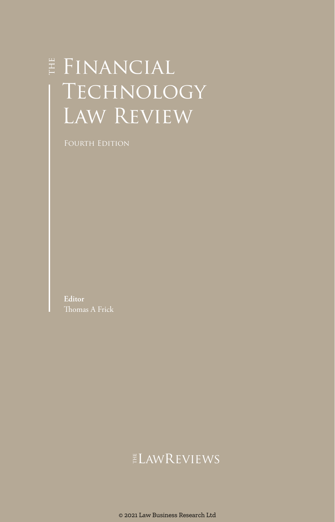# E FINANCIAL Technology Law Review

Fourth Edition

**Editor** Thomas A Frick

## ELAWREVIEWS

© 2021 Law Business Research Ltd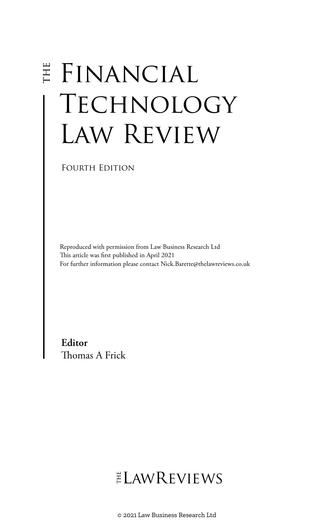# **E FINANCIAL TECHNOLOGY** Law Review

FOURTH EDITION

Reproduced with permission from Law Business Research Ltd This article was first published in April 2021 For further information please contact Nick.Barette@thelawreviews.co.uk

**Editor** Thomas A Frick

ELAWREVIEWS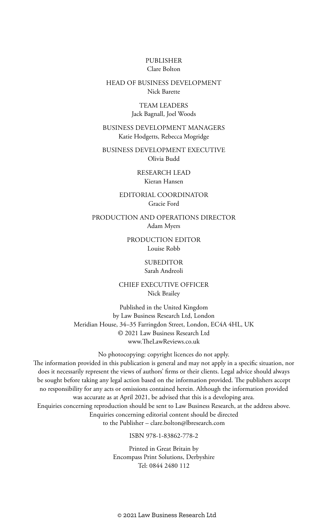#### PUBLISHER Clare Bolton

#### HEAD OF BUSINESS DEVELOPMENT Nick Barette

#### TEAM LEADERS Jack Bagnall, Joel Woods

#### BUSINESS DEVELOPMENT MANAGERS Katie Hodgetts, Rebecca Mogridge

BUSINESS DEVELOPMENT EXECUTIVE Olivia Budd

> RESEARCH LEAD Kieran Hansen

#### EDITORIAL COORDINATOR Gracie Ford

PRODUCTION AND OPERATIONS DIRECTOR Adam Myers

> PRODUCTION EDITOR Louise Robb

> > **SUBEDITOR** Sarah Andreoli

CHIEF EXECUTIVE OFFICER Nick Brailey

Published in the United Kingdom by Law Business Research Ltd, London Meridian House, 34–35 Farringdon Street, London, EC4A 4HL, UK © 2021 Law Business Research Ltd www.TheLawReviews.co.uk

No photocopying: copyright licences do not apply. The information provided in this publication is general and may not apply in a specific situation, nor does it necessarily represent the views of authors' firms or their clients. Legal advice should always be sought before taking any legal action based on the information provided. The publishers accept no responsibility for any acts or omissions contained herein. Although the information provided was accurate as at April 2021, be advised that this is a developing area. Enquiries concerning reproduction should be sent to Law Business Research, at the address above. Enquiries concerning editorial content should be directed to the Publisher – clare.bolton@lbresearch.com

#### ISBN 978-1-83862-778-2

Printed in Great Britain by Encompass Print Solutions, Derbyshire Tel: 0844 2480 112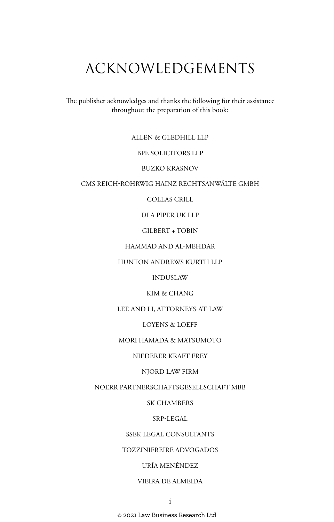# ACKNOWLEDGEMENTS

The publisher acknowledges and thanks the following for their assistance throughout the preparation of this book:

#### ALLEN & GLEDHILL LLP

#### BPE SOLICITORS LLP

#### BUZKO KRASNOV

#### CMS REICH-ROHRWIG HAINZ RECHTSANWÄLTE GMBH

#### COLLAS CRILL

#### DLA PIPER UK LLP

#### GILBERT + TOBIN

#### HAMMAD AND AL-MEHDAR

#### HUNTON ANDREWS KURTH LLP

#### INDUSLAW

#### KIM & CHANG

#### LEE AND LI, ATTORNEYS-AT-LAW

#### LOYENS & LOEFF

#### MORI HAMADA & MATSUMOTO

#### NIEDERER KRAFT FREY

#### NJORD LAW FIRM

#### NOERR PARTNERSCHAFTSGESELLSCHAFT MBB

#### SK CHAMBERS

#### SRP-LEGAL

#### SSEK LEGAL CONSULTANTS

#### TOZZINIFREIRE ADVOGADOS

#### URÍA MENÉNDEZ

#### VIEIRA DE ALMEIDA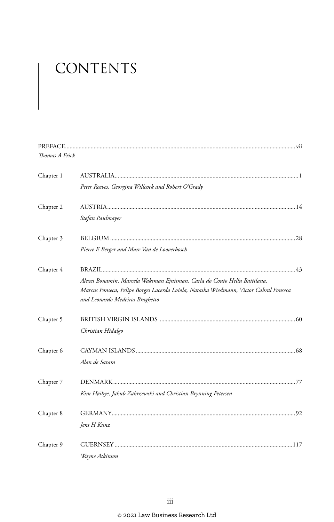# CONTENTS

| Thomas A Frick |                                                                                                                                                                                                       |
|----------------|-------------------------------------------------------------------------------------------------------------------------------------------------------------------------------------------------------|
| Chapter 1      |                                                                                                                                                                                                       |
|                | Peter Reeves, Georgina Willcock and Robert O'Grady                                                                                                                                                    |
| Chapter 2      |                                                                                                                                                                                                       |
|                | Stefan Paulmayer                                                                                                                                                                                      |
| Chapter 3      |                                                                                                                                                                                                       |
|                | Pierre E Berger and Marc Van de Looverbosch                                                                                                                                                           |
| Chapter 4      |                                                                                                                                                                                                       |
|                | Alexei Bonamin, Marcela Waksman Ejnisman, Carla do Couto Hellu Battilana,<br>Marcus Fonseca, Felipe Borges Lacerda Loiola, Natasha Wiedmann, Victor Cabral Fonseca<br>and Leonardo Medeiros Braghetto |
| Chapter 5      |                                                                                                                                                                                                       |
|                | Christian Hidalgo                                                                                                                                                                                     |
| Chapter 6      |                                                                                                                                                                                                       |
|                | Alan de Saram                                                                                                                                                                                         |
| Chapter 7      |                                                                                                                                                                                                       |
|                | Kim Høibye, Jakub Zakrzewski and Christian Brynning Petersen                                                                                                                                          |
| Chapter 8      |                                                                                                                                                                                                       |
|                | Jens H Kunz                                                                                                                                                                                           |
| Chapter 9      |                                                                                                                                                                                                       |
|                | Wayne Atkinson                                                                                                                                                                                        |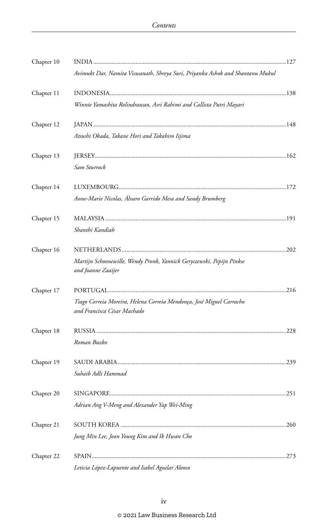| Chapter 10 |                                                                                                     |  |
|------------|-----------------------------------------------------------------------------------------------------|--|
|            | Avimukt Dar, Namita Viswanath, Shreya Suri, Priyanka Ashok and Shantanu Mukul                       |  |
| Chapter 11 |                                                                                                     |  |
|            | Winnie Yamashita Rolindrawan, Asri Rahimi and Callista Putri Mayari                                 |  |
| Chapter 12 |                                                                                                     |  |
|            | Atsushi Okada, Takane Hori and Takahiro Iijima                                                      |  |
| Chapter 13 |                                                                                                     |  |
|            | Sam Sturrock                                                                                        |  |
| Chapter 14 |                                                                                                     |  |
|            | Anne-Marie Nicolas, Álvaro Garrido Mesa and Sandy Brumberg                                          |  |
| Chapter 15 |                                                                                                     |  |
|            | Shanthi Kandiah                                                                                     |  |
| Chapter 16 |                                                                                                     |  |
|            | Martijn Schoonewille, Wendy Pronk, Yannick Geryszewski, Pepijn Pinkse<br>and Joanne Zaaijer         |  |
| Chapter 17 |                                                                                                     |  |
|            | Tiago Correia Moreira, Helena Correia Mendonça, José Miguel Carracho<br>and Francisca César Machado |  |
| Chapter 18 |                                                                                                     |  |
|            | Roman Buzko                                                                                         |  |
| Chapter 19 |                                                                                                     |  |
|            | Suhaib Adli Hammad                                                                                  |  |
| Chapter 20 |                                                                                                     |  |
|            | Adrian Ang V-Meng and Alexander Yap Wei-Ming                                                        |  |
| Chapter 21 |                                                                                                     |  |
|            | Jung Min Lee, Joon Young Kim and Ik Hwan Cho                                                        |  |
| Chapter 22 |                                                                                                     |  |
|            | Leticia López-Lapuente and Isabel Aguilar Alonso                                                    |  |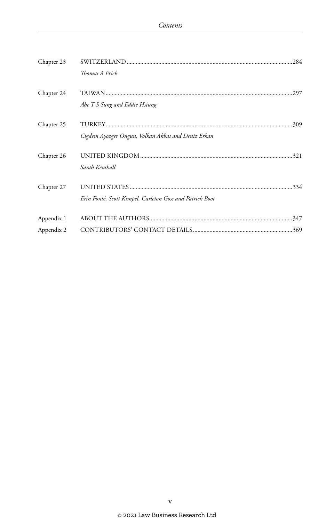| Chapter 23 |                                                          | .284 |
|------------|----------------------------------------------------------|------|
|            | Thomas A Frick                                           |      |
| Chapter 24 |                                                          |      |
|            | Abe T S Sung and Eddie Hsiung                            |      |
| Chapter 25 |                                                          |      |
|            | Cigdem Ayozger Ongun, Volkan Akbas and Deniz Erkan       |      |
| Chapter 26 |                                                          |      |
|            | Sarah Kenshall                                           |      |
| Chapter 27 |                                                          |      |
|            | Erin Fonté, Scott Kimpel, Carleton Goss and Patrick Boot |      |
| Appendix 1 |                                                          |      |
| Appendix 2 |                                                          |      |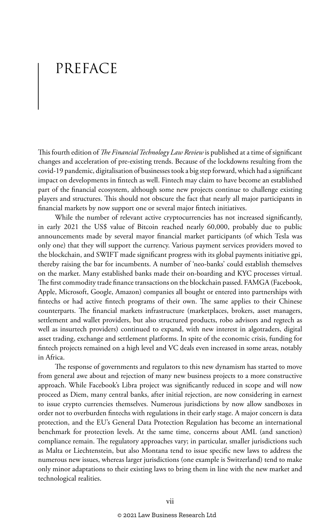# PREFACE

This fourth edition of *The Financial Technology Law Review* is published at a time of significant changes and acceleration of pre-existing trends. Because of the lockdowns resulting from the covid-19 pandemic, digitalisation of businesses took a big step forward, which had a significant impact on developments in fintech as well. Fintech may claim to have become an established part of the financial ecosystem, although some new projects continue to challenge existing players and structures. This should not obscure the fact that nearly all major participants in financial markets by now support one or several major fintech initiatives.

While the number of relevant active cryptocurrencies has not increased significantly, in early 2021 the US\$ value of Bitcoin reached nearly 60,000, probably due to public announcements made by several mayor financial market participants (of which Tesla was only one) that they will support the currency. Various payment services providers moved to the blockchain, and SWIFT made significant progress with its global payments initiative gpi, thereby raising the bar for incumbents. A number of 'neo-banks' could establish themselves on the market. Many established banks made their on-boarding and KYC processes virtual. The first commodity trade finance transactions on the blockchain passed. FAMGA (Facebook, Apple, Microsoft, Google, Amazon) companies all bought or entered into partnerships with fintechs or had active fintech programs of their own. The same applies to their Chinese counterparts. The financial markets infrastructure (marketplaces, brokers, asset managers, settlement and wallet providers, but also structured products, robo advisors and regtech as well as insurtech providers) continued to expand, with new interest in algotraders, digital asset trading, exchange and settlement platforms. In spite of the economic crisis, funding for fintech projects remained on a high level and VC deals even increased in some areas, notably in Africa.

The response of governments and regulators to this new dynamism has started to move from general awe about and rejection of many new business projects to a more constructive approach. While Facebook's Libra project was significantly reduced in scope and will now proceed as Diem, many central banks, after initial rejection, are now considering in earnest to issue crypto currencies themselves. Numerous jurisdictions by now allow sandboxes in order not to overburden fintechs with regulations in their early stage. A major concern is data protection, and the EU's General Data Protection Regulation has become an international benchmark for protection levels. At the same time, concerns about AML (and sanction) compliance remain. The regulatory approaches vary; in particular, smaller jurisdictions such as Malta or Liechtenstein, but also Montana tend to issue specific new laws to address the numerous new issues, whereas larger jurisdictions (one example is Switzerland) tend to make only minor adaptations to their existing laws to bring them in line with the new market and technological realities.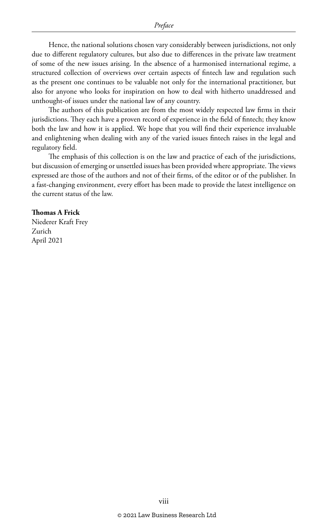Hence, the national solutions chosen vary considerably between jurisdictions, not only due to different regulatory cultures, but also due to differences in the private law treatment of some of the new issues arising. In the absence of a harmonised international regime, a structured collection of overviews over certain aspects of fintech law and regulation such as the present one continues to be valuable not only for the international practitioner, but also for anyone who looks for inspiration on how to deal with hitherto unaddressed and unthought-of issues under the national law of any country.

The authors of this publication are from the most widely respected law firms in their jurisdictions. They each have a proven record of experience in the field of fintech; they know both the law and how it is applied. We hope that you will find their experience invaluable and enlightening when dealing with any of the varied issues fintech raises in the legal and regulatory field.

The emphasis of this collection is on the law and practice of each of the jurisdictions, but discussion of emerging or unsettled issues has been provided where appropriate. The views expressed are those of the authors and not of their firms, of the editor or of the publisher. In a fast-changing environment, every effort has been made to provide the latest intelligence on the current status of the law.

#### **Thomas A Frick**

Niederer Kraft Frey Zurich April 2021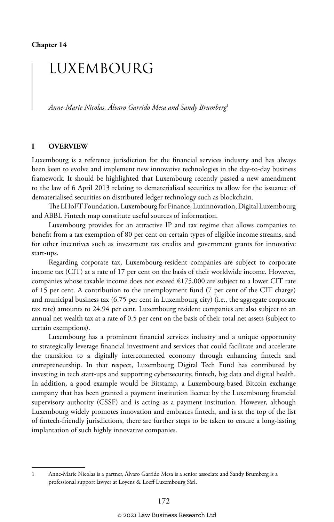### LUXEMBOURG

*Anne-Marie Nicolas, Álvaro Garrido Mesa and Sandy Brumberg*<sup>1</sup>

#### **I OVERVIEW**

Luxembourg is a reference jurisdiction for the financial services industry and has always been keen to evolve and implement new innovative technologies in the day-to-day business framework. It should be highlighted that Luxembourg recently passed a new amendment to the law of 6 April 2013 relating to dematerialised securities to allow for the issuance of dematerialised securities on distributed ledger technology such as blockchain.

The LHoFT Foundation, Luxembourg for Finance, Luxinnovation, Digital Luxembourg and ABBL Fintech map constitute useful sources of information.

Luxembourg provides for an attractive IP and tax regime that allows companies to benefit from a tax exemption of 80 per cent on certain types of eligible income streams, and for other incentives such as investment tax credits and government grants for innovative start-ups.

Regarding corporate tax, Luxembourg-resident companies are subject to corporate income tax (CIT) at a rate of 17 per cent on the basis of their worldwide income. However, companies whose taxable income does not exceed  $E175,000$  are subject to a lower CIT rate of 15 per cent. A contribution to the unemployment fund (7 per cent of the CIT charge) and municipal business tax (6.75 per cent in Luxembourg city) (i.e., the aggregate corporate tax rate) amounts to 24.94 per cent. Luxembourg resident companies are also subject to an annual net wealth tax at a rate of 0.5 per cent on the basis of their total net assets (subject to certain exemptions).

Luxembourg has a prominent financial services industry and a unique opportunity to strategically leverage financial investment and services that could facilitate and accelerate the transition to a digitally interconnected economy through enhancing fintech and entrepreneurship. In that respect, Luxembourg Digital Tech Fund has contributed by investing in tech start-ups and supporting cybersecurity, fintech, big data and digital health. In addition, a good example would be Bitstamp, a Luxembourg-based Bitcoin exchange company that has been granted a payment institution licence by the Luxembourg financial supervisory authority (CSSF) and is acting as a payment institution. However, although Luxembourg widely promotes innovation and embraces fintech, and is at the top of the list of fintech-friendly jurisdictions, there are further steps to be taken to ensure a long-lasting implantation of such highly innovative companies.

<sup>1</sup> Anne-Marie Nicolas is a partner, Álvaro Garrido Mesa is a senior associate and Sandy Brumberg is a professional support lawyer at Loyens & Loeff Luxembourg Sàrl.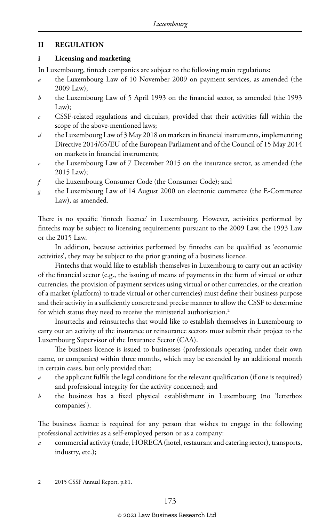#### **II REGULATION**

#### **i Licensing and marketing**

In Luxembourg, fintech companies are subject to the following main regulations:

- the Luxembourg Law of 10 November 2009 on payment services, as amended (the 2009 Law);
- *b* the Luxembourg Law of 5 April 1993 on the financial sector, as amended (the 1993 Law);
- *c* CSSF-related regulations and circulars, provided that their activities fall within the scope of the above-mentioned laws;
- *d* the Luxembourg Law of 3 May 2018 on markets in financial instruments, implementing Directive 2014/65/EU of the European Parliament and of the Council of 15 May 2014 on markets in financial instruments;
- *e* the Luxembourg Law of 7 December 2015 on the insurance sector, as amended (the 2015 Law);
- *f* the Luxembourg Consumer Code (the Consumer Code); and
- *g* the Luxembourg Law of 14 August 2000 on electronic commerce (the E-Commerce Law), as amended.

There is no specific 'fintech licence' in Luxembourg. However, activities performed by fintechs may be subject to licensing requirements pursuant to the 2009 Law, the 1993 Law or the 2015 Law.

In addition, because activities performed by fintechs can be qualified as 'economic activities', they may be subject to the prior granting of a business licence.

Fintechs that would like to establish themselves in Luxembourg to carry out an activity of the financial sector (e.g., the issuing of means of payments in the form of virtual or other currencies, the provision of payment services using virtual or other currencies, or the creation of a market (platform) to trade virtual or other currencies) must define their business purpose and their activity in a sufficiently concrete and precise manner to allow the CSSF to determine for which status they need to receive the ministerial authorisation.<sup>2</sup>

Insurtechs and reinsurtechs that would like to establish themselves in Luxembourg to carry out an activity of the insurance or reinsurance sectors must submit their project to the Luxembourg Supervisor of the Insurance Sector (CAA).

The business licence is issued to businesses (professionals operating under their own name, or companies) within three months, which may be extended by an additional month in certain cases, but only provided that:

- *a* the applicant fulfils the legal conditions for the relevant qualification (if one is required) and professional integrity for the activity concerned; and
- *b* the business has a fixed physical establishment in Luxembourg (no 'letterbox companies').

The business licence is required for any person that wishes to engage in the following professional activities as a self-employed person or as a company:

*a* commercial activity (trade, HORECA (hotel, restaurant and catering sector), transports, industry, etc.);

<sup>2</sup> 2015 CSSF Annual Report, p.81.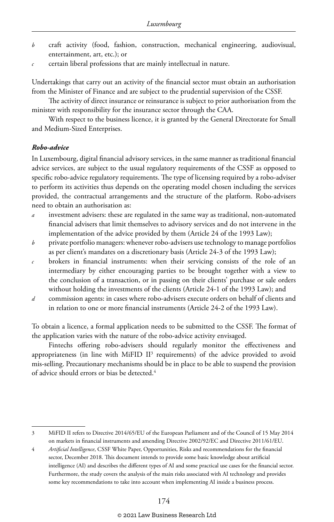- *b* craft activity (food, fashion, construction, mechanical engineering, audiovisual, entertainment, art, etc.); or
- *c* certain liberal professions that are mainly intellectual in nature.

Undertakings that carry out an activity of the financial sector must obtain an authorisation from the Minister of Finance and are subject to the prudential supervision of the CSSF.

The activity of direct insurance or reinsurance is subject to prior authorisation from the minister with responsibility for the insurance sector through the CAA.

With respect to the business licence, it is granted by the General Directorate for Small and Medium-Sized Enterprises.

#### *Robo-advice*

In Luxembourg, digital financial advisory services, in the same manner as traditional financial advice services, are subject to the usual regulatory requirements of the CSSF as opposed to specific robo-advice regulatory requirements. The type of licensing required by a robo-adviser to perform its activities thus depends on the operating model chosen including the services provided, the contractual arrangements and the structure of the platform. Robo-advisers need to obtain an authorisation as:

- *a* investment advisers: these are regulated in the same way as traditional, non-automated financial advisers that limit themselves to advisory services and do not intervene in the implementation of the advice provided by them (Article 24 of the 1993 Law);
- *b* private portfolio managers: whenever robo-advisers use technology to manage portfolios as per client's mandates on a discretionary basis (Article 24-3 of the 1993 Law);
- *c* brokers in financial instruments: when their servicing consists of the role of an intermediary by either encouraging parties to be brought together with a view to the conclusion of a transaction, or in passing on their clients' purchase or sale orders without holding the investments of the clients (Article 24-1 of the 1993 Law); and
- *d* commission agents: in cases where robo-advisers execute orders on behalf of clients and in relation to one or more financial instruments (Article 24-2 of the 1993 Law).

To obtain a licence, a formal application needs to be submitted to the CSSF. The format of the application varies with the nature of the robo-advice activity envisaged.

Fintechs offering robo-advisers should regularly monitor the effectiveness and appropriateness (in line with MiFID II<sup>3</sup> requirements) of the advice provided to avoid mis-selling. Precautionary mechanisms should be in place to be able to suspend the provision of advice should errors or bias be detected.4

<sup>3</sup> MiFID II refers to Directive 2014/65/EU of the European Parliament and of the Council of 15 May 2014 on markets in financial instruments and amending Directive 2002/92/EC and Directive 2011/61/EU.

<sup>4</sup> *Artificial Intelligence*, CSSF White Paper, Opportunities, Risks and recommendations for the financial sector, December 2018. This document intends to provide some basic knowledge about artificial intelligence (AI) and describes the different types of AI and some practical use cases for the financial sector. Furthermore, the study covers the analysis of the main risks associated with AI technology and provides some key recommendations to take into account when implementing AI inside a business process.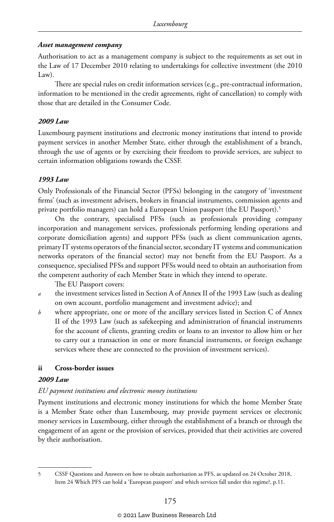#### *Asset management company*

Authorisation to act as a management company is subject to the requirements as set out in the Law of 17 December 2010 relating to undertakings for collective investment (the 2010 Law).

There are special rules on credit information services (e.g., pre-contractual information, information to be mentioned in the credit agreements, right of cancellation) to comply with those that are detailed in the Consumer Code.

#### *2009 Law*

Luxembourg payment institutions and electronic money institutions that intend to provide payment services in another Member State, either through the establishment of a branch, through the use of agents or by exercising their freedom to provide services, are subject to certain information obligations towards the CSSF.

#### *1993 Law*

Only Professionals of the Financial Sector (PFSs) belonging in the category of 'investment firms' (such as investment advisers, brokers in financial instruments, commission agents and private portfolio managers) can hold a European Union passport (the EU Passport).5

On the contrary, specialised PFSs (such as professionals providing company incorporation and management services, professionals performing lending operations and corporate domiciliation agents) and support PFSs (such as client communication agents, primary IT systems operators of the financial sector, secondary IT systems and communication networks operators of the financial sector) may not benefit from the EU Passport. As a consequence, specialised PFSs and support PFSs would need to obtain an authorisation from the competent authority of each Member State in which they intend to operate.

The EU Passport covers:

- *a* the investment services listed in Section A of Annex II of the 1993 Law (such as dealing on own account, portfolio management and investment advice); and
- *b* where appropriate, one or more of the ancillary services listed in Section C of Annex II of the 1993 Law (such as safekeeping and administration of financial instruments for the account of clients, granting credits or loans to an investor to allow him or her to carry out a transaction in one or more financial instruments, or foreign exchange services where these are connected to the provision of investment services).

#### **ii Cross-border issues**

#### *2009 Law*

#### *EU payment institutions and electronic money institutions*

Payment institutions and electronic money institutions for which the home Member State is a Member State other than Luxembourg, may provide payment services or electronic money services in Luxembourg, either through the establishment of a branch or through the engagement of an agent or the provision of services, provided that their activities are covered by their authorisation.

<sup>5</sup> CSSF Questions and Answers on how to obtain authorisation as PFS, as updated on 24 October 2018, Item 24 Which PFS can hold a 'European passport' and which services fall under this regime?, p.11.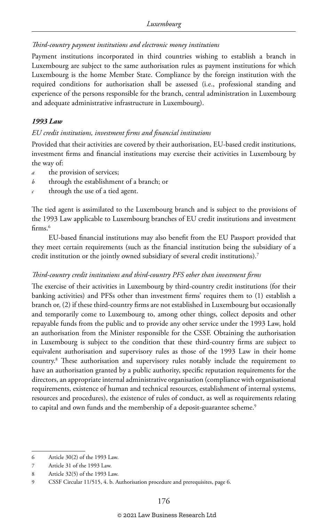#### *Third-country payment institutions and electronic money institutions*

Payment institutions incorporated in third countries wishing to establish a branch in Luxembourg are subject to the same authorisation rules as payment institutions for which Luxembourg is the home Member State. Compliance by the foreign institution with the required conditions for authorisation shall be assessed (i.e., professional standing and experience of the persons responsible for the branch, central administration in Luxembourg and adequate administrative infrastructure in Luxembourg).

#### *1993 Law*

#### *EU credit institutions, investment firms and financial institutions*

Provided that their activities are covered by their authorisation, EU-based credit institutions, investment firms and financial institutions may exercise their activities in Luxembourg by the way of:

- *a* the provision of services;
- *b* through the establishment of a branch; or
- *c* through the use of a tied agent.

The tied agent is assimilated to the Luxembourg branch and is subject to the provisions of the 1993 Law applicable to Luxembourg branches of EU credit institutions and investment firms.<sup>6</sup>

EU-based financial institutions may also benefit from the EU Passport provided that they meet certain requirements (such as the financial institution being the subsidiary of a credit institution or the jointly owned subsidiary of several credit institutions).7

#### *Third-country credit institutions and third-country PFS other than investment firms*

The exercise of their activities in Luxembourg by third-country credit institutions (for their banking activities) and PFSs other than investment firms' requires them to (1) establish a branch or, (2) if these third-country firms are not established in Luxembourg but occasionally and temporarily come to Luxembourg to, among other things, collect deposits and other repayable funds from the public and to provide any other service under the 1993 Law, hold an authorisation from the Minister responsible for the CSSF. Obtaining the authorisation in Luxembourg is subject to the condition that these third-country firms are subject to equivalent authorisation and supervisory rules as those of the 1993 Law in their home country.8 These authorisation and supervisory rules notably include the requirement to have an authorisation granted by a public authority, specific reputation requirements for the directors, an appropriate internal administrative organisation (compliance with organisational requirements, existence of human and technical resources, establishment of internal systems, resources and procedures), the existence of rules of conduct, as well as requirements relating to capital and own funds and the membership of a deposit-guarantee scheme.<sup>9</sup>

<sup>6</sup> Article 30(2) of the 1993 Law.

<sup>7</sup> Article 31 of the 1993 Law.

<sup>8</sup> Article 32(5) of the 1993 Law.

<sup>9</sup> CSSF Circular 11/515, 4. b. Authorisation procedure and prerequisites, page 6.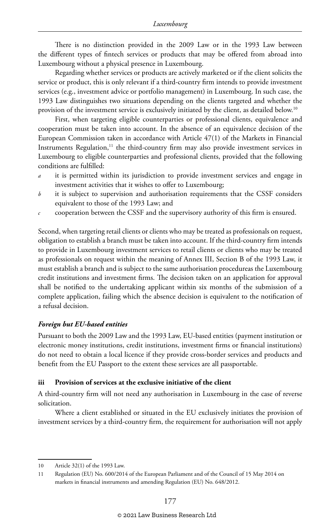There is no distinction provided in the 2009 Law or in the 1993 Law between the different types of fintech services or products that may be offered from abroad into Luxembourg without a physical presence in Luxembourg.

Regarding whether services or products are actively marketed or if the client solicits the service or product, this is only relevant if a third-country firm intends to provide investment services (e.g., investment advice or portfolio management) in Luxembourg. In such case, the 1993 Law distinguishes two situations depending on the clients targeted and whether the provision of the investment service is exclusively initiated by the client, as detailed below.10

First, when targeting eligible counterparties or professional clients, equivalence and cooperation must be taken into account. In the absence of an equivalence decision of the European Commission taken in accordance with Article 47(1) of the Markets in Financial Instruments Regulation,<sup>11</sup> the third-country firm may also provide investment services in Luxembourg to eligible counterparties and professional clients, provided that the following conditions are fulfilled:

- it is permitted within its jurisdiction to provide investment services and engage in investment activities that it wishes to offer to Luxembourg;
- *b* it is subject to supervision and authorisation requirements that the CSSF considers equivalent to those of the 1993 Law; and
- *c* cooperation between the CSSF and the supervisory authority of this firm is ensured.

Second, when targeting retail clients or clients who may be treated as professionals on request, obligation to establish a branch must be taken into account. If the third-country firm intends to provide in Luxembourg investment services to retail clients or clients who may be treated as professionals on request within the meaning of Annex III, Section B of the 1993 Law, it must establish a branch and is subject to the same authorisation procedureas the Luxembourg credit institutions and investment firms. The decision taken on an application for approval shall be notified to the undertaking applicant within six months of the submission of a complete application, failing which the absence decision is equivalent to the notification of a refusal decision.

#### *Foreign but EU-based entities*

Pursuant to both the 2009 Law and the 1993 Law, EU-based entities (payment institution or electronic money institutions, credit institutions, investment firms or financial institutions) do not need to obtain a local licence if they provide cross-border services and products and benefit from the EU Passport to the extent these services are all passportable.

#### **iii Provision of services at the exclusive initiative of the client**

A third-country firm will not need any authorisation in Luxembourg in the case of reverse solicitation.

Where a client established or situated in the EU exclusively initiates the provision of investment services by a third-country firm, the requirement for authorisation will not apply

<sup>10</sup> Article 32(1) of the 1993 Law.

<sup>11</sup> Regulation (EU) No. 600/2014 of the European Parliament and of the Council of 15 May 2014 on markets in financial instruments and amending Regulation (EU) No. 648/2012.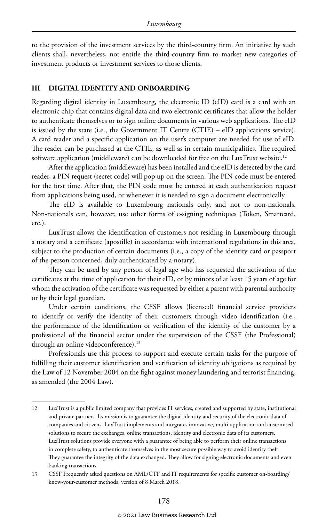to the provision of the investment services by the third-country firm. An initiative by such clients shall, nevertheless, not entitle the third-country firm to market new categories of investment products or investment services to those clients.

#### **III DIGITAL IDENTITY AND ONBOARDING**

Regarding digital identity in Luxembourg, the electronic ID (eID) card is a card with an electronic chip that contains digital data and two electronic certificates that allow the holder to authenticate themselves or to sign online documents in various web applications. The eID is issued by the state (i.e., the Government IT Centre (CTIE) – eID applications service). A card reader and a specific application on the user's computer are needed for use of eID. The reader can be purchased at the CTIE, as well as in certain municipalities. The required software application (middleware) can be downloaded for free on the LuxTrust website.<sup>12</sup>

After the application (middleware) has been installed and the eID is detected by the card reader, a PIN request (secret code) will pop up on the screen. The PIN code must be entered for the first time. After that, the PIN code must be entered at each authentication request from applications being used, or whenever it is needed to sign a document electronically.

The eID is available to Luxembourg nationals only, and not to non-nationals. Non-nationals can, however, use other forms of e-signing techniques (Token, Smartcard, etc.).

LuxTrust allows the identification of customers not residing in Luxembourg through a notary and a certificate (apostille) in accordance with international regulations in this area, subject to the production of certain documents (i.e., a copy of the identity card or passport of the person concerned, duly authenticated by a notary).

They can be used by any person of legal age who has requested the activation of the certificates at the time of application for their eID, or by minors of at least 15 years of age for whom the activation of the certificate was requested by either a parent with parental authority or by their legal guardian.

Under certain conditions, the CSSF allows (licensed) financial service providers to identify or verify the identity of their customers through video identification (i.e., the performance of the identification or verification of the identity of the customer by a professional of the financial sector under the supervision of the CSSF (the Professional) through an online videoconference).<sup>13</sup>

Professionals use this process to support and execute certain tasks for the purpose of fulfilling their customer identification and verification of identity obligations as required by the Law of 12 November 2004 on the fight against money laundering and terrorist financing, as amended (the 2004 Law).

<sup>12</sup> LuxTrust is a public limited company that provides IT services, created and supported by state, institutional and private partners. Its mission is to guarantee the digital identity and security of the electronic data of companies and citizens. LuxTrust implements and integrates innovative, multi-application and customised solutions to secure the exchanges, online transactions, identity and electronic data of its customers. LuxTrust solutions provide everyone with a guarantee of being able to perform their online transactions in complete safety, to authenticate themselves in the most secure possible way to avoid identity theft. They guarantee the integrity of the data exchanged. They allow for signing electronic documents and even banking transactions.

<sup>13</sup> CSSF Frequently asked questions on AML/CTF and IT requirements for specific customer on-boarding/ know-your-customer methods, version of 8 March 2018.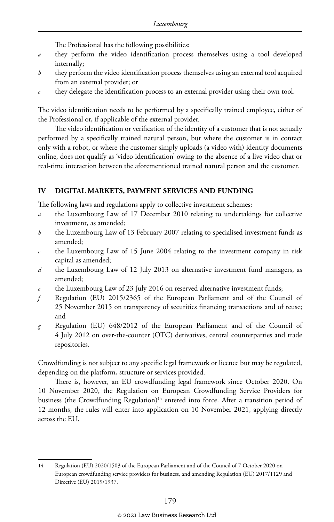The Professional has the following possibilities:

- *a* they perform the video identification process themselves using a tool developed internally;
- *b* they perform the video identification process themselves using an external tool acquired from an external provider; or
- *c* they delegate the identification process to an external provider using their own tool.

The video identification needs to be performed by a specifically trained employee, either of the Professional or, if applicable of the external provider.

The video identification or verification of the identity of a customer that is not actually performed by a specifically trained natural person, but where the customer is in contact only with a robot, or where the customer simply uploads (a video with) identity documents online, does not qualify as 'video identification' owing to the absence of a live video chat or real-time interaction between the aforementioned trained natural person and the customer.

#### **IV DIGITAL MARKETS, PAYMENT SERVICES AND FUNDING**

The following laws and regulations apply to collective investment schemes:

- *a* the Luxembourg Law of 17 December 2010 relating to undertakings for collective investment, as amended;
- *b* the Luxembourg Law of 13 February 2007 relating to specialised investment funds as amended;
- *c* the Luxembourg Law of 15 June 2004 relating to the investment company in risk capital as amended;
- *d* the Luxembourg Law of 12 July 2013 on alternative investment fund managers, as amended;
- the Luxembourg Law of 23 July 2016 on reserved alternative investment funds;
- *f* Regulation (EU) 2015/2365 of the European Parliament and of the Council of 25 November 2015 on transparency of securities financing transactions and of reuse; and
- *g* Regulation (EU) 648/2012 of the European Parliament and of the Council of 4 July 2012 on over-the-counter (OTC) derivatives, central counterparties and trade repositories.

Crowdfunding is not subject to any specific legal framework or licence but may be regulated, depending on the platform, structure or services provided.

There is, however, an EU crowdfunding legal framework since October 2020. On 10 November 2020, the Regulation on European Crowdfunding Service Providers for business (the Crowdfunding Regulation)<sup>14</sup> entered into force. After a transition period of 12 months, the rules will enter into application on 10 November 2021, applying directly across the EU.

<sup>14</sup> Regulation (EU) 2020/1503 of the European Parliament and of the Council of 7 October 2020 on European crowdfunding service providers for business, and amending Regulation (EU) 2017/1129 and Directive (EU) 2019/1937.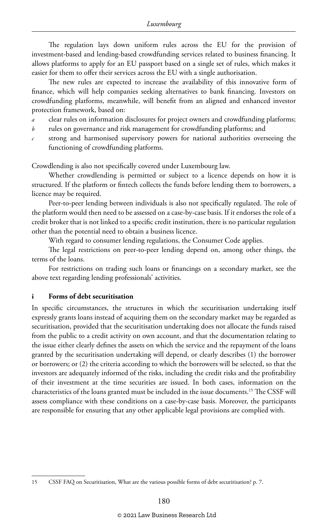The regulation lays down uniform rules across the EU for the provision of investment-based and lending-based crowdfunding services related to business financing. It allows platforms to apply for an EU passport based on a single set of rules, which makes it easier for them to offer their services across the EU with a single authorisation.

The new rules are expected to increase the availability of this innovative form of finance, which will help companies seeking alternatives to bank financing. Investors on crowdfunding platforms, meanwhile, will benefit from an aligned and enhanced investor protection framework, based on:

- *a* clear rules on information disclosures for project owners and crowdfunding platforms;
- *b* rules on governance and risk management for crowdfunding platforms; and
- *c* strong and harmonised supervisory powers for national authorities overseeing the functioning of crowdfunding platforms.

Crowdlending is also not specifically covered under Luxembourg law.

Whether crowdlending is permitted or subject to a licence depends on how it is structured. If the platform or fintech collects the funds before lending them to borrowers, a licence may be required.

Peer-to-peer lending between individuals is also not specifically regulated. The role of the platform would then need to be assessed on a case-by-case basis. If it endorses the role of a credit broker that is not linked to a specific credit institution, there is no particular regulation other than the potential need to obtain a business licence.

With regard to consumer lending regulations, the Consumer Code applies.

The legal restrictions on peer-to-peer lending depend on, among other things, the terms of the loans.

For restrictions on trading such loans or financings on a secondary market, see the above text regarding lending professionals' activities.

#### **i Forms of debt securitisation**

In specific circumstances, the structures in which the securitisation undertaking itself expressly grants loans instead of acquiring them on the secondary market may be regarded as securitisation, provided that the securitisation undertaking does not allocate the funds raised from the public to a credit activity on own account, and that the documentation relating to the issue either clearly defines the assets on which the service and the repayment of the loans granted by the securitisation undertaking will depend, or clearly describes (1) the borrower or borrowers; or (2) the criteria according to which the borrowers will be selected, so that the investors are adequately informed of the risks, including the credit risks and the profitability of their investment at the time securities are issued. In both cases, information on the characteristics of the loans granted must be included in the issue documents.15 The CSSF will assess compliance with these conditions on a case-by-case basis. Moreover, the participants are responsible for ensuring that any other applicable legal provisions are complied with.

<sup>15</sup> CSSF FAQ on Securitisation, What are the various possible forms of debt securitisation? p. 7.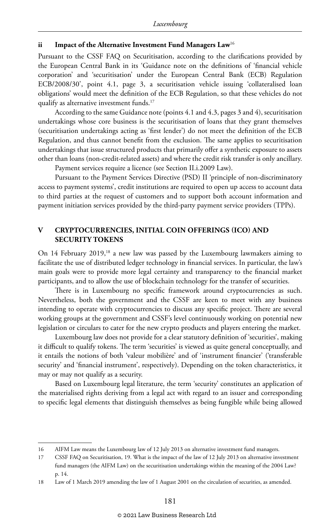#### **ii Impact of the Alternative Investment Fund Managers Law**<sup>16</sup>

Pursuant to the CSSF FAQ on Securitisation, according to the clarifications provided by the European Central Bank in its 'Guidance note on the definitions of 'financial vehicle corporation' and 'securitisation' under the European Central Bank (ECB) Regulation ECB/2008/30', point 4.1, page 3, a securitisation vehicle issuing 'collateralised loan obligations' would meet the definition of the ECB Regulation, so that these vehicles do not qualify as alternative investment funds.<sup>17</sup>

According to the same Guidance note (points 4.1 and 4.3, pages 3 and 4), securitisation undertakings whose core business is the securitisation of loans that they grant themselves (securitisation undertakings acting as 'first lender') do not meet the definition of the ECB Regulation, and thus cannot benefit from the exclusion. The same applies to securitisation undertakings that issue structured products that primarily offer a synthetic exposure to assets other than loans (non-credit-related assets) and where the credit risk transfer is only ancillary.

Payment services require a licence (see Section II.i.2009 Law).

Pursuant to the Payment Services Directive (PSD) II 'principle of non-discriminatory access to payment systems', credit institutions are required to open up access to account data to third parties at the request of customers and to support both account information and payment initiation services provided by the third-party payment service providers (TPPs).

#### **V CRYPTOCURRENCIES, INITIAL COIN OFFERINGS (ICO) AND SECURITY TOKENS**

On 14 February 2019,<sup>18</sup> a new law was passed by the Luxembourg lawmakers aiming to facilitate the use of distributed ledger technology in financial services. In particular, the law's main goals were to provide more legal certainty and transparency to the financial market participants, and to allow the use of blockchain technology for the transfer of securities.

There is in Luxembourg no specific framework around cryptocurrencies as such. Nevertheless, both the government and the CSSF are keen to meet with any business intending to operate with cryptocurrencies to discuss any specific project. There are several working groups at the government and CSSF's level continuously working on potential new legislation or circulars to cater for the new crypto products and players entering the market.

Luxembourg law does not provide for a clear statutory definition of 'securities', making it difficult to qualify tokens. The term 'securities' is viewed as quite general conceptually, and it entails the notions of both 'valeur mobilière' and of 'instrument financier' ('transferable security' and 'financial instrument', respectively). Depending on the token characteristics, it may or may not qualify as a security.

Based on Luxembourg legal literature, the term 'security' constitutes an application of the materialised rights deriving from a legal act with regard to an issuer and corresponding to specific legal elements that distinguish themselves as being fungible while being allowed

<sup>16</sup> AIFM Law means the Luxembourg law of 12 July 2013 on alternative investment fund managers.

<sup>17</sup> CSSF FAQ on Securitisation, 19. What is the impact of the law of 12 July 2013 on alternative investment fund managers (the AIFM Law) on the securitisation undertakings within the meaning of the 2004 Law? p. 14.

<sup>18</sup> Law of 1 March 2019 amending the law of 1 August 2001 on the circulation of securities, as amended.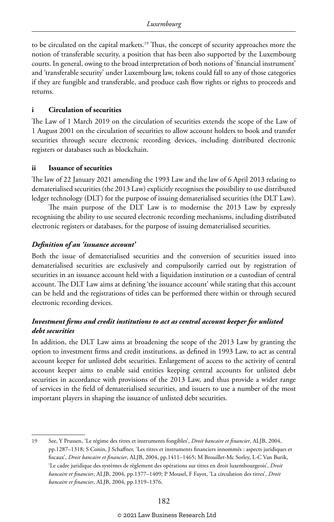to be circulated on the capital markets.19 Thus, the concept of security approaches more the notion of transferable security, a position that has been also supported by the Luxembourg courts. In general, owing to the broad interpretation of both notions of 'financial instrument' and 'transferable security' under Luxembourg law, tokens could fall to any of those categories if they are fungible and transferable, and produce cash flow rights or rights to proceeds and returns.

#### **i Circulation of securities**

The Law of 1 March 2019 on the circulation of securities extends the scope of the Law of 1 August 2001 on the circulation of securities to allow account holders to book and transfer securities through secure electronic recording devices, including distributed electronic registers or databases such as blockchain.

#### **ii Issuance of securities**

The law of 22 January 2021 amending the 1993 Law and the law of 6 April 2013 relating to dematerialised securities (the 2013 Law) explicitly recognises the possibility to use distributed ledger technology (DLT) for the purpose of issuing dematerialised securities (the DLT Law).

The main purpose of the DLT Law is to modernise the 2013 Law by expressly recognising the ability to use secured electronic recording mechanisms, including distributed electronic registers or databases, for the purpose of issuing dematerialised securities.

#### *Definition of an 'issuance account'*

Both the issue of dematerialised securities and the conversion of securities issued into dematerialised securities are exclusively and compulsorily carried out by registration of securities in an issuance account held with a liquidation institution or a custodian of central account. The DLT Law aims at defining 'the issuance account' while stating that this account can be held and the registrations of titles can be performed there within or through secured electronic recording devices.

#### *Investment firms and credit institutions to act as central account keeper for unlisted debt securities*

In addition, the DLT Law aims at broadening the scope of the 2013 Law by granting the option to investment firms and credit institutions, as defined in 1993 Law, to act as central account keeper for unlisted debt securities. Enlargement of access to the activity of central account keeper aims to enable said entities keeping central accounts for unlisted debt securities in accordance with provisions of the 2013 Law, and thus provide a wider range of services in the field of dematerialised securities, and issuers to use a number of the most important players in shaping the issuance of unlisted debt securities.

<sup>19</sup> See, Y Prussen, 'Le régime des titres et instruments fongibles', *Droit bancaire et financier*, ALJB, 2004, pp.1287–1318; S Conin, J Schaffner, 'Les titres et instruments financiers innommés : aspects juridiques et fiscaux', *Droit bancaire et financier*, ALJB, 2004, pp.1411–1465; M Brouillet-Mc Sorley, L-C Van Burik, 'Le cadre juridique des systèmes de règlement des opérations sur titres en droit luxembourgeois', *Droit bancaire et financier*, ALJB, 2004, pp.1377–1409; P Mousel, F Fayot, 'La circulation des titres', *Droit bancaire et financier*, ALJB, 2004, pp.1319–1376.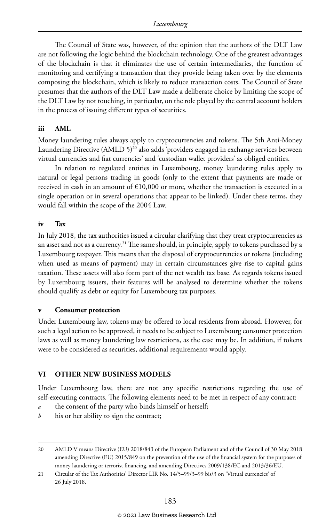The Council of State was, however, of the opinion that the authors of the DLT Law are not following the logic behind the blockchain technology. One of the greatest advantages of the blockchain is that it eliminates the use of certain intermediaries, the function of monitoring and certifying a transaction that they provide being taken over by the elements composing the blockchain, which is likely to reduce transaction costs. The Council of State presumes that the authors of the DLT Law made a deliberate choice by limiting the scope of the DLT Law by not touching, in particular, on the role played by the central account holders in the process of issuing different types of securities.

#### **iii AML**

Money laundering rules always apply to cryptocurrencies and tokens. The 5th Anti-Money Laundering Directive  $(AMLD 5)^{20}$  also adds 'providers engaged in exchange services between virtual currencies and fiat currencies' and 'custodian wallet providers' as obliged entities.

In relation to regulated entities in Luxembourg, money laundering rules apply to natural or legal persons trading in goods (only to the extent that payments are made or received in cash in an amount of  $\text{\textsterling}10,000$  or more, whether the transaction is executed in a single operation or in several operations that appear to be linked). Under these terms, they would fall within the scope of the 2004 Law.

#### **iv Tax**

In July 2018, the tax authorities issued a circular clarifying that they treat cryptocurrencies as an asset and not as a currency.<sup>21</sup> The same should, in principle, apply to tokens purchased by a Luxembourg taxpayer. This means that the disposal of cryptocurrencies or tokens (including when used as means of payment) may in certain circumstances give rise to capital gains taxation. These assets will also form part of the net wealth tax base. As regards tokens issued by Luxembourg issuers, their features will be analysed to determine whether the tokens should qualify as debt or equity for Luxembourg tax purposes.

#### **v Consumer protection**

Under Luxembourg law, tokens may be offered to local residents from abroad. However, for such a legal action to be approved, it needs to be subject to Luxembourg consumer protection laws as well as money laundering law restrictions, as the case may be. In addition, if tokens were to be considered as securities, additional requirements would apply.

#### **VI OTHER NEW BUSINESS MODELS**

Under Luxembourg law, there are not any specific restrictions regarding the use of self-executing contracts. The following elements need to be met in respect of any contract:

- *a* the consent of the party who binds himself or herself;
- *b* his or her ability to sign the contract;

<sup>20</sup> AMLD V means Directive (EU) 2018/843 of the European Parliament and of the Council of 30 May 2018 amending Directive (EU) 2015/849 on the prevention of the use of the financial system for the purposes of money laundering or terrorist financing, and amending Directives 2009/138/EC and 2013/36/EU.

<sup>21</sup> Circular of the Tax Authorities' Director LIR No. 14/5–99/3–99 bis/3 on 'Virtual currencies' of 26 July 2018.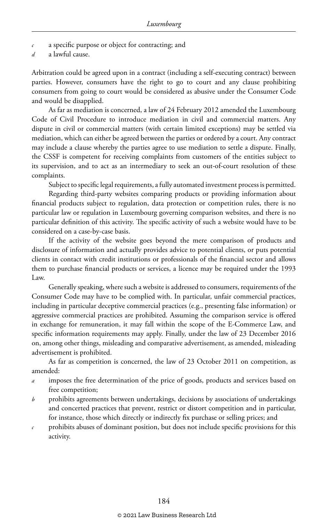- *c* a specific purpose or object for contracting; and
- *d* a lawful cause.

Arbitration could be agreed upon in a contract (including a self-executing contract) between parties. However, consumers have the right to go to court and any clause prohibiting consumers from going to court would be considered as abusive under the Consumer Code and would be disapplied.

As far as mediation is concerned, a law of 24 February 2012 amended the Luxembourg Code of Civil Procedure to introduce mediation in civil and commercial matters. Any dispute in civil or commercial matters (with certain limited exceptions) may be settled via mediation, which can either be agreed between the parties or ordered by a court. Any contract may include a clause whereby the parties agree to use mediation to settle a dispute. Finally, the CSSF is competent for receiving complaints from customers of the entities subject to its supervision, and to act as an intermediary to seek an out-of-court resolution of these complaints.

Subject to specific legal requirements, a fully automated investment process is permitted.

Regarding third-party websites comparing products or providing information about financial products subject to regulation, data protection or competition rules, there is no particular law or regulation in Luxembourg governing comparison websites, and there is no particular definition of this activity. The specific activity of such a website would have to be considered on a case-by-case basis.

If the activity of the website goes beyond the mere comparison of products and disclosure of information and actually provides advice to potential clients, or puts potential clients in contact with credit institutions or professionals of the financial sector and allows them to purchase financial products or services, a licence may be required under the 1993 Law.

Generally speaking, where such a website is addressed to consumers, requirements of the Consumer Code may have to be complied with. In particular, unfair commercial practices, including in particular deceptive commercial practices (e.g., presenting false information) or aggressive commercial practices are prohibited. Assuming the comparison service is offered in exchange for remuneration, it may fall within the scope of the E-Commerce Law, and specific information requirements may apply. Finally, under the law of 23 December 2016 on, among other things, misleading and comparative advertisement, as amended, misleading advertisement is prohibited.

As far as competition is concerned, the law of 23 October 2011 on competition, as amended:

- *a* imposes the free determination of the price of goods, products and services based on free competition;
- *b* prohibits agreements between undertakings, decisions by associations of undertakings and concerted practices that prevent, restrict or distort competition and in particular, for instance, those which directly or indirectly fix purchase or selling prices; and
- *c* prohibits abuses of dominant position, but does not include specific provisions for this activity.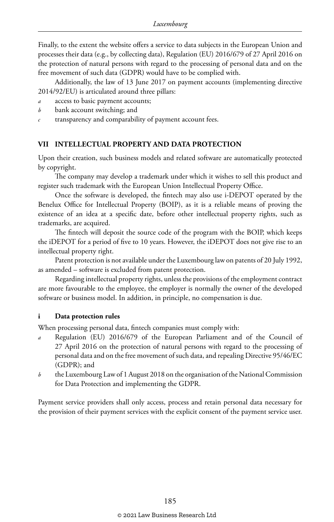Finally, to the extent the website offers a service to data subjects in the European Union and processes their data (e.g., by collecting data), Regulation (EU) 2016/679 of 27 April 2016 on the protection of natural persons with regard to the processing of personal data and on the free movement of such data (GDPR) would have to be complied with.

Additionally, the law of 13 June 2017 on payment accounts (implementing directive 2014/92/EU) is articulated around three pillars:

- *a* access to basic payment accounts;
- *b* bank account switching; and
- *c* transparency and comparability of payment account fees.

#### **VII INTELLECTUAL PROPERTY AND DATA PROTECTION**

Upon their creation, such business models and related software are automatically protected by copyright.

The company may develop a trademark under which it wishes to sell this product and register such trademark with the European Union Intellectual Property Office.

Once the software is developed, the fintech may also use i-DEPOT operated by the Benelux Office for Intellectual Property (BOIP), as it is a reliable means of proving the existence of an idea at a specific date, before other intellectual property rights, such as trademarks, are acquired.

The fintech will deposit the source code of the program with the BOIP, which keeps the iDEPOT for a period of five to 10 years. However, the iDEPOT does not give rise to an intellectual property right.

Patent protection is not available under the Luxembourg law on patents of 20 July 1992, as amended – software is excluded from patent protection.

Regarding intellectual property rights, unless the provisions of the employment contract are more favourable to the employee, the employer is normally the owner of the developed software or business model. In addition, in principle, no compensation is due.

#### **i Data protection rules**

When processing personal data, fintech companies must comply with:

- Regulation (EU) 2016/679 of the European Parliament and of the Council of 27 April 2016 on the protection of natural persons with regard to the processing of personal data and on the free movement of such data, and repealing Directive 95/46/EC (GDPR); and
- *b* the Luxembourg Law of 1 August 2018 on the organisation of the National Commission for Data Protection and implementing the GDPR.

Payment service providers shall only access, process and retain personal data necessary for the provision of their payment services with the explicit consent of the payment service user.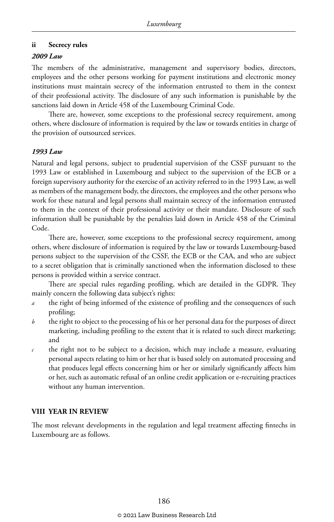#### **ii Secrecy rules**

#### *2009 Law*

The members of the administrative, management and supervisory bodies, directors, employees and the other persons working for payment institutions and electronic money institutions must maintain secrecy of the information entrusted to them in the context of their professional activity. The disclosure of any such information is punishable by the sanctions laid down in Article 458 of the Luxembourg Criminal Code.

There are, however, some exceptions to the professional secrecy requirement, among others, where disclosure of information is required by the law or towards entities in charge of the provision of outsourced services.

#### *1993 Law*

Natural and legal persons, subject to prudential supervision of the CSSF pursuant to the 1993 Law or established in Luxembourg and subject to the supervision of the ECB or a foreign supervisory authority for the exercise of an activity referred to in the 1993 Law, as well as members of the management body, the directors, the employees and the other persons who work for these natural and legal persons shall maintain secrecy of the information entrusted to them in the context of their professional activity or their mandate. Disclosure of such information shall be punishable by the penalties laid down in Article 458 of the Criminal Code.

There are, however, some exceptions to the professional secrecy requirement, among others, where disclosure of information is required by the law or towards Luxembourg-based persons subject to the supervision of the CSSF, the ECB or the CAA, and who are subject to a secret obligation that is criminally sanctioned when the information disclosed to these persons is provided within a service contract.

There are special rules regarding profiling, which are detailed in the GDPR. They mainly concern the following data subject's rights:

- *a* the right of being informed of the existence of profiling and the consequences of such profiling;
- *b* the right to object to the processing of his or her personal data for the purposes of direct marketing, including profiling to the extent that it is related to such direct marketing; and
- *c* the right not to be subject to a decision, which may include a measure, evaluating personal aspects relating to him or her that is based solely on automated processing and that produces legal effects concerning him or her or similarly significantly affects him or her, such as automatic refusal of an online credit application or e-recruiting practices without any human intervention.

#### **VIII YEAR IN REVIEW**

The most relevant developments in the regulation and legal treatment affecting fintechs in Luxembourg are as follows.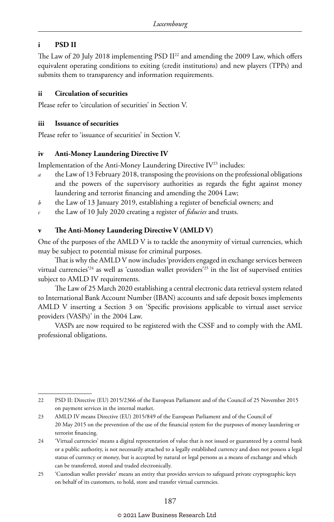#### **i PSD II**

The Law of 20 July 2018 implementing PSD II<sup>22</sup> and amending the 2009 Law, which offers equivalent operating conditions to exiting (credit institutions) and new players (TPPs) and submits them to transparency and information requirements.

#### **ii Circulation of securities**

Please refer to 'circulation of securities' in Section V.

#### **iii Issuance of securities**

Please refer to 'issuance of securities' in Section V.

#### **iv Anti-Money Laundering Directive IV**

Implementation of the Anti-Money Laundering Directive IV<sup>23</sup> includes:

- the Law of 13 February 2018, transposing the provisions on the professional obligations and the powers of the supervisory authorities as regards the fight against money laundering and terrorist financing and amending the 2004 Law;
- *b* the Law of 13 January 2019, establishing a register of beneficial owners; and
- *c* the Law of 10 July 2020 creating a register of *fiducies* and trusts.

#### **v The Anti-Money Laundering Directive V (AMLD V)**

One of the purposes of the AMLD V is to tackle the anonymity of virtual currencies, which may be subject to potential misuse for criminal purposes.

That is why the AMLD V now includes 'providers engaged in exchange services between virtual currencies<sup>224</sup> as well as 'custodian wallet providers<sup>225</sup> in the list of supervised entities subject to AMLD IV requirements.

The Law of 25 March 2020 establishing a central electronic data retrieval system related to International Bank Account Number (IBAN) accounts and safe deposit boxes implements AMLD V inserting a Section 3 on 'Specific provisions applicable to virtual asset service providers (VASPs)' in the 2004 Law.

VASPs are now required to be registered with the CSSF and to comply with the AML professional obligations.

<sup>22</sup> PSD II: Directive (EU) 2015/2366 of the European Parliament and of the Council of 25 November 2015 on payment services in the internal market.

<sup>23</sup> AMLD IV means Directive (EU) 2015/849 of the European Parliament and of the Council of 20 May 2015 on the prevention of the use of the financial system for the purposes of money laundering or terrorist financing.

<sup>24</sup> 'Virtual currencies' means a digital representation of value that is not issued or guaranteed by a central bank or a public authority, is not necessarily attached to a legally established currency and does not possess a legal status of currency or money, but is accepted by natural or legal persons as a means of exchange and which can be transferred, stored and traded electronically.

<sup>25</sup> 'Custodian wallet provider' means an entity that provides services to safeguard private cryptographic keys on behalf of its customers, to hold, store and transfer virtual currencies.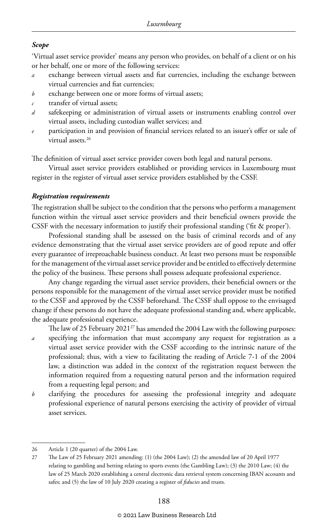#### *Scope*

'Virtual asset service provider' means any person who provides, on behalf of a client or on his or her behalf, one or more of the following services:

- *a* exchange between virtual assets and fiat currencies, including the exchange between virtual currencies and fiat currencies;
- *b* exchange between one or more forms of virtual assets;
- *c* transfer of virtual assets;
- *d* safekeeping or administration of virtual assets or instruments enabling control over virtual assets, including custodian wallet services; and
- *e* participation in and provision of financial services related to an issuer's offer or sale of virtual assets.26

The definition of virtual asset service provider covers both legal and natural persons.

Virtual asset service providers established or providing services in Luxembourg must register in the register of virtual asset service providers established by the CSSF.

#### *Registration requirements*

The registration shall be subject to the condition that the persons who perform a management function within the virtual asset service providers and their beneficial owners provide the CSSF with the necessary information to justify their professional standing ('fit & proper').

Professional standing shall be assessed on the basis of criminal records and of any evidence demonstrating that the virtual asset service providers are of good repute and offer every guarantee of irreproachable business conduct. At least two persons must be responsible for the management of the virtual asset service provider and be entitled to effectively determine the policy of the business. These persons shall possess adequate professional experience.

Any change regarding the virtual asset service providers, their beneficial owners or the persons responsible for the management of the virtual asset service provider must be notified to the CSSF and approved by the CSSF beforehand. The CSSF shall oppose to the envisaged change if these persons do not have the adequate professional standing and, where applicable, the adequate professional experience.

The law of 25 February 2021<sup>27</sup> has amended the 2004 Law with the following purposes:

- *a* specifying the information that must accompany any request for registration as a virtual asset service provider with the CSSF according to the intrinsic nature of the professional; thus, with a view to facilitating the reading of Article 7-1 of the 2004 law, a distinction was added in the context of the registration request between the information required from a requesting natural person and the information required from a requesting legal person; and
- *b* clarifying the procedures for assessing the professional integrity and adequate professional experience of natural persons exercising the activity of provider of virtual asset services.

<sup>26</sup> Article 1 (20 quarter) of the 2004 Law.

<sup>27</sup> The Law of 25 February 2021 amending: (1) (the 2004 Law); (2) the amended law of 20 April 1977 relating to gambling and betting relating to sports events (the Gambling Law); (3) the 2010 Law; (4) the law of 25 March 2020 establishing a central electronic data retrieval system concerning IBAN accounts and safes; and (5) the law of 10 July 2020 creating a register of *fiducies* and trusts.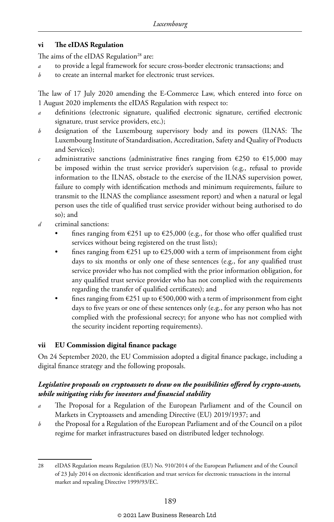#### **vi The eIDAS Regulation**

The aims of the eIDAS Regulation<sup>28</sup> are:

- *a* to provide a legal framework for secure cross-border electronic transactions; and
- *b* to create an internal market for electronic trust services.

The law of 17 July 2020 amending the E-Commerce Law, which entered into force on 1 August 2020 implements the eIDAS Regulation with respect to:

- *a* definitions (electronic signature, qualified electronic signature, certified electronic signature, trust service providers, etc.);
- *b* designation of the Luxembourg supervisory body and its powers (ILNAS: The Luxembourg Institute of Standardisation, Accreditation, Safety and Quality of Products and Services);
- *c* administrative sanctions (administrative fines ranging from €250 to €15,000 may be imposed within the trust service provider's supervision (e.g., refusal to provide information to the ILNAS, obstacle to the exercise of the ILNAS supervision power, failure to comply with identification methods and minimum requirements, failure to transmit to the ILNAS the compliance assessment report) and when a natural or legal person uses the title of qualified trust service provider without being authorised to do so); and
- *d* criminal sanctions:
	- fines ranging from  $\epsilon$ 251 up to  $\epsilon$ 25,000 (e.g., for those who offer qualified trust services without being registered on the trust lists);
	- fines ranging from  $\epsilon$ 251 up to  $\epsilon$ 25,000 with a term of imprisonment from eight days to six months or only one of these sentences (e.g., for any qualified trust service provider who has not complied with the prior information obligation, for any qualified trust service provider who has not complied with the requirements regarding the transfer of qualified certificates); and
	- fines ranging from  $\epsilon$ 251 up to  $\epsilon$ 500,000 with a term of imprisonment from eight days to five years or one of these sentences only (e.g., for any person who has not complied with the professional secrecy; for anyone who has not complied with the security incident reporting requirements).

#### **vii EU Commission digital finance package**

On 24 September 2020, the EU Commission adopted a digital finance package, including a digital finance strategy and the following proposals.

#### *Legislative proposals on cryptoassets to draw on the possibilities offered by crypto-assets, while mitigating risks for investors and financial stability*

- *a* The Proposal for a Regulation of the European Parliament and of the Council on Markets in Cryptoassets and amending Directive (EU) 2019/1937; and
- *b* the Proposal for a Regulation of the European Parliament and of the Council on a pilot regime for market infrastructures based on distributed ledger technology.

<sup>28</sup> eIDAS Regulation means Regulation (EU) No. 910/2014 of the European Parliament and of the Council of 23 July 2014 on electronic identification and trust services for electronic transactions in the internal market and repealing Directive 1999/93/EC.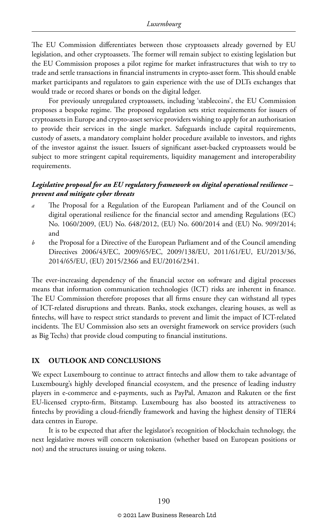The EU Commission differentiates between those cryptoassets already governed by EU legislation, and other cryptoassets. The former will remain subject to existing legislation but the EU Commission proposes a pilot regime for market infrastructures that wish to try to trade and settle transactions in financial instruments in crypto-asset form. This should enable market participants and regulators to gain experience with the use of DLTs exchanges that would trade or record shares or bonds on the digital ledger.

For previously unregulated cryptoassets, including 'stablecoins', the EU Commission proposes a bespoke regime. The proposed regulation sets strict requirements for issuers of cryptoassets in Europe and crypto-asset service providers wishing to apply for an authorisation to provide their services in the single market. Safeguards include capital requirements, custody of assets, a mandatory complaint holder procedure available to investors, and rights of the investor against the issuer. Issuers of significant asset-backed cryptoassets would be subject to more stringent capital requirements, liquidity management and interoperability requirements.

#### *Legislative proposal for an EU regulatory framework on digital operational resilience – prevent and mitigate cyber threats*

- *a* The Proposal for a Regulation of the European Parliament and of the Council on digital operational resilience for the financial sector and amending Regulations (EC) No. 1060/2009, (EU) No. 648/2012, (EU) No. 600/2014 and (EU) No. 909/2014; and
- *b* the Proposal for a Directive of the European Parliament and of the Council amending Directives 2006/43/EC, 2009/65/EC, 2009/138/EU, 2011/61/EU, EU/2013/36, 2014/65/EU, (EU) 2015/2366 and EU/2016/2341.

The ever-increasing dependency of the financial sector on software and digital processes means that information communication technologies (ICT) risks are inherent in finance. The EU Commission therefore proposes that all firms ensure they can withstand all types of ICT-related disruptions and threats. Banks, stock exchanges, clearing houses, as well as fintechs, will have to respect strict standards to prevent and limit the impact of ICT-related incidents. The EU Commission also sets an oversight framework on service providers (such as Big Techs) that provide cloud computing to financial institutions.

#### **IX OUTLOOK AND CONCLUSIONS**

We expect Luxembourg to continue to attract fintechs and allow them to take advantage of Luxembourg's highly developed financial ecosystem, and the presence of leading industry players in e-commerce and e-payments, such as PayPal, Amazon and Rakuten or the first EU-licensed crypto-firm, Bitstamp. Luxembourg has also boosted its attractiveness to fintechs by providing a cloud-friendly framework and having the highest density of TIER4 data centres in Europe.

It is to be expected that after the legislator's recognition of blockchain technology, the next legislative moves will concern tokenisation (whether based on European positions or not) and the structures issuing or using tokens.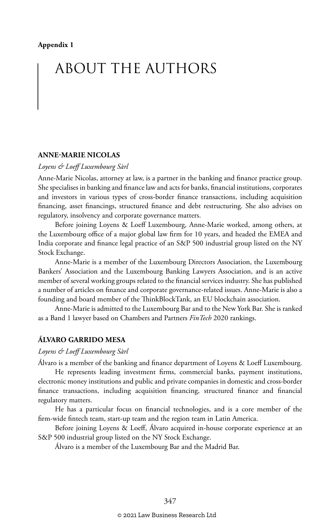## ABOUT THE AUTHORS

#### **ANNE-MARIE NICOLAS**

#### *Loyens & Loeff Luxembourg Sàrl*

Anne-Marie Nicolas, attorney at law, is a partner in the banking and finance practice group. She specialises in banking and finance law and acts for banks, financial institutions, corporates and investors in various types of cross-border finance transactions, including acquisition financing, asset financings, structured finance and debt restructuring. She also advises on regulatory, insolvency and corporate governance matters.

Before joining Loyens & Loeff Luxembourg, Anne-Marie worked, among others, at the Luxembourg office of a major global law firm for 10 years, and headed the EMEA and India corporate and finance legal practice of an S&P 500 industrial group listed on the NY Stock Exchange.

Anne-Marie is a member of the Luxembourg Directors Association, the Luxembourg Bankers' Association and the Luxembourg Banking Lawyers Association, and is an active member of several working groups related to the financial services industry. She has published a number of articles on finance and corporate governance-related issues. Anne-Marie is also a founding and board member of the ThinkBlockTank, an EU blockchain association.

Anne-Marie is admitted to the Luxembourg Bar and to the New York Bar. She is ranked as a Band 1 lawyer based on Chambers and Partners *FinTech* 2020 rankings.

#### **ÁLVARO GARRIDO MESA**

#### *Loyens & Loeff Luxembourg Sàrl*

Álvaro is a member of the banking and finance department of Loyens & Loeff Luxembourg.

He represents leading investment firms, commercial banks, payment institutions, electronic money institutions and public and private companies in domestic and cross-border finance transactions, including acquisition financing, structured finance and financial regulatory matters.

He has a particular focus on financial technologies, and is a core member of the firm-wide fintech team, start-up team and the region team in Latin America.

Before joining Loyens & Loeff, Álvaro acquired in-house corporate experience at an S&P 500 industrial group listed on the NY Stock Exchange.

Álvaro is a member of the Luxembourg Bar and the Madrid Bar.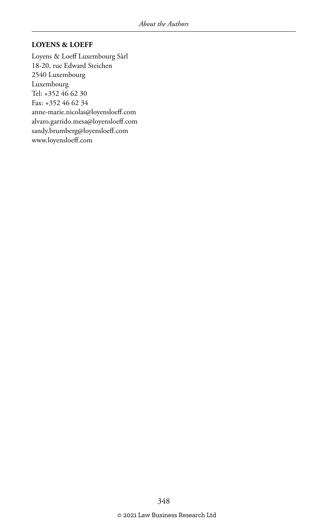#### **LOYENS & LOEFF**

Loyens & Loeff Luxembourg Sàrl 18-20, rue Edward Steichen 2540 Luxembourg Luxembourg Tel: +352 46 62 30 Fax: +352 46 62 34 anne-marie.nicolas@loyensloeff.com alvaro.garrido.mesa@loyensloeff.com sandy.brumberg@loyensloeff.com www.loyensloeff.com